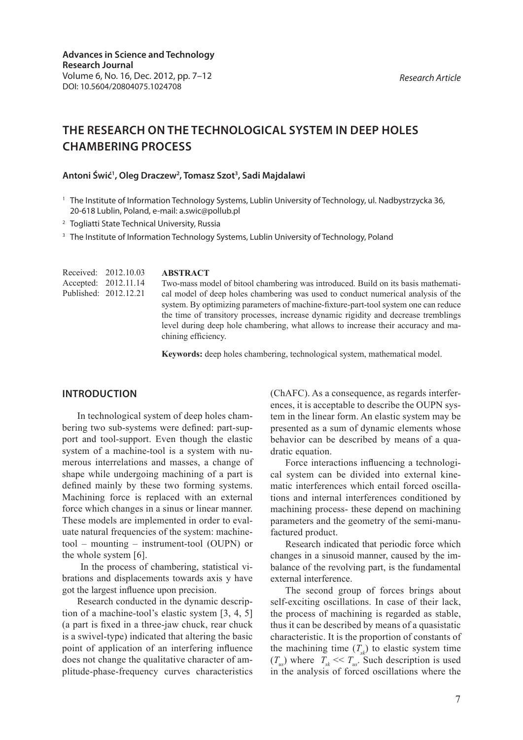**CHAMBERING PROCESS**

# **THE RESEARCH ON THE TECHNOLOGICAL SYSTEM IN DEEP HOLES**

### **Antoni Świć1 , Oleg Draczew2 , Tomasz Szot3 , Sadi Majdalawi**

- <sup>1</sup> The Institute of Information Technology Systems, Lublin University of Technology, ul. Nadbystrzycka 36, 20-618 Lublin, Poland, e-mail: a.swic@pollub.pl
- <sup>2</sup> Togliatti State Technical University, Russia

<sup>3</sup> The Institute of Information Technology Systems, Lublin University of Technology, Poland

**ABSTRACT** Two-mass model of bitool chambering was introduced. Build on its basis mathematical model of deep holes chambering was used to conduct numerical analysis of the system. By optimizing parameters of machine-fixture-part-tool system one can reduce the time of transitory processes, increase dynamic rigidity and decrease tremblings level during deep hole chambering, what allows to increase their accuracy and machining efficiency. Received: 2012.10.03 Accepted: 2012.11.14 Published: 2012.12.21

**Keywords:** deep holes chambering, technological system, mathematical model.

### **INTRODUCTION**

In technological system of deep holes chambering two sub-systems were defined: part-support and tool-support. Even though the elastic system of a machine-tool is a system with numerous interrelations and masses, a change of shape while undergoing machining of a part is defined mainly by these two forming systems. Machining force is replaced with an external force which changes in a sinus or linear manner. These models are implemented in order to evaluate natural frequencies of the system: machinetool – mounting – instrument-tool (OUPN) or the whole system [6].

 In the process of chambering, statistical vibrations and displacements towards axis y have got the largest influence upon precision.

Research conducted in the dynamic description of a machine-tool's elastic system [3, 4, 5] (a part is fixed in a three-jaw chuck, rear chuck is a swivel-type) indicated that altering the basic point of application of an interfering influence does not change the qualitative character of amplitude-phase-frequency curves characteristics

(ChAFC). As a consequence, as regards interferences, it is acceptable to describe the OUPN system in the linear form. An elastic system may be presented as a sum of dynamic elements whose behavior can be described by means of a quadratic equation.

Force interactions influencing a technological system can be divided into external kinematic interferences which entail forced oscillations and internal interferences conditioned by machining process- these depend on machining parameters and the geometry of the semi-manufactured product.

Research indicated that periodic force which changes in a sinusoid manner, caused by the imbalance of the revolving part, is the fundamental external interference.

The second group of forces brings about self-exciting oscillations. In case of their lack, the process of machining is regarded as stable, thus it can be described by means of a quasistatic characteristic. It is the proportion of constants of the machining time  $(T_{ab})$  to elastic system time  $(T_{us})$  where  $T_{sk} \ll T_{us}$ . Such description is used in the analysis of forced oscillations where the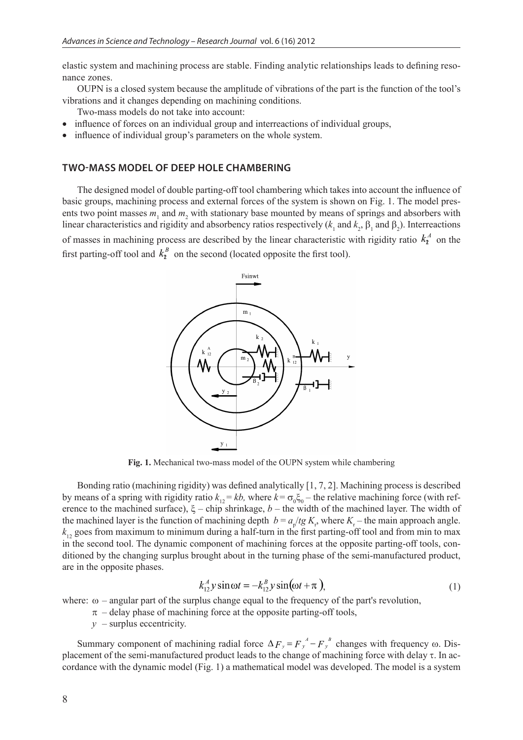elastic system and machining process are stable. Finding analytic relationships leads to defining resonance zones.

OUPN is a closed system because the amplitude of vibrations of the part is the function of the tool's vibrations and it changes depending on machining conditions.

Two-mass models do not take into account:

- influence of forces on an individual group and interreactions of individual groups,
- influence of individual group's parameters on the whole system.

#### **TWO-MASS MODEL OF DEEP HOLE CHAMBERING**

The designed model of double parting-off tool chambering which takes into account the influence of basic groups, machining process and external forces of the system is shown on Fig. 1. The model presents two point masses  $m_1$  and  $m_2$  with stationary base mounted by means of springs and absorbers with linear characteristics and rigidity and absorbency ratios respectively ( $k_1$  and  $k_2$ ,  $\beta_1$  and  $\beta_2$ ). Interreactions of masses in machining process are described by the linear characteristic with rigidity ratio  $k_1^4$  on the first parting-off tool and  $k_1^B$  on the second (located opposite the first tool).



**Fig. 1.** Mechanical two-mass model of the OUPN system while chambering

Bonding ratio (machining rigidity) was defined analytically [1, 7, 2]. Machining process is described by means of a spring with rigidity ratio  $k_{12} = kb$ , where  $k = \sigma_0 \xi_0$  – the relative machining force (with reference to the machined surface),  $\xi$  – chip shrinkage,  $b$  – the width of the machined layer. The width of the machined layer is the function of machining depth  $b = a_p/tg K_r$ , where  $K_r$  – the main approach angle.  $k<sub>12</sub>$  goes from maximum to minimum during a half-turn in the first parting-off tool and from min to max in the second tool. The dynamic component of machining forces at the opposite parting-off tools, conditioned by the changing surplus brought about in the turning phase of the semi-manufactured product, are in the opposite phases.

$$
k_{12}^A y \sin \omega t = -k_{12}^B y \sin(\omega t + \pi), \qquad (1)
$$

where:  $\omega$  – angular part of the surplus change equal to the frequency of the part's revolution,

- $\pi$  delay phase of machining force at the opposite parting-off tools,
- $y -$ surplus eccentricity.

Summary component of machining radial force  $\Delta F_y = F_y^A - F_y^B$  changes with frequency  $\omega$ . Displacement of the semi-manufactured product leads to the change of machining force with delay  $\tau$ . In accordance with the dynamic model (Fig. 1) a mathematical model was developed. The model is a system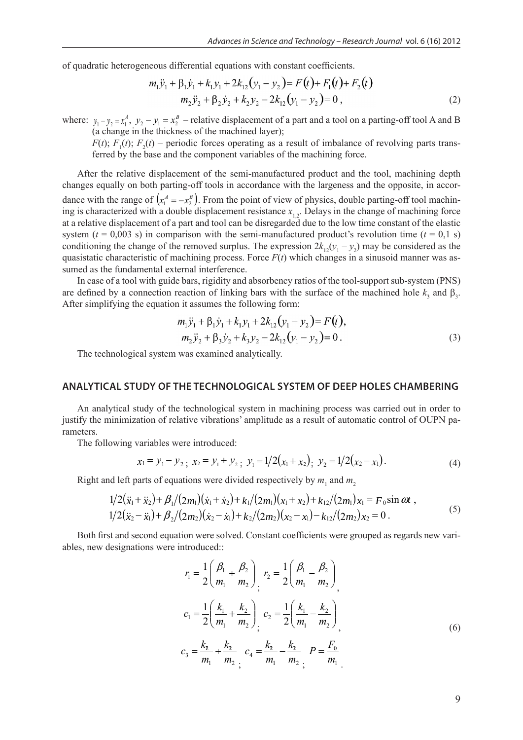of quadratic heterogeneous differential equations with constant coefficients.

$$
m_1 \ddot{y}_1 + \beta_1 \dot{y}_1 + k_1 y_1 + 2k_{12} (y_1 - y_2) = F(t) + F_1(t) + F_2(t)
$$
  

$$
m_2 \ddot{y}_2 + \beta_2 \dot{y}_2 + k_2 y_2 - 2k_{12} (y_1 - y_2) = 0,
$$
 (2)

where:  $y_1 - y_2 = x_1^A$ ,  $y_2 - y_1 = x_2^B$  – relative displacement of a part and a tool on a parting-off tool A and B (a change in the thickness of the machined layer);

 $F(t)$ ;  $F_1(t)$ ;  $F_2(t)$  – periodic forces operating as a result of imbalance of revolving parts transferred by the base and the component variables of the machining force.

After the relative displacement of the semi-manufactured product and the tool, machining depth changes equally on both parting-off tools in accordance with the largeness and the opposite, in accordance with the range of  $(x_1^A = -x_2^B)$ . From the point of view of physics, double parting-off tool machining is characterized with a double displacement resistance  $x_{1,2}$ . Delays in the change of machining force at a relative displacement of a part and tool can be disregarded due to the low time constant of the elastic system ( $t = 0.003$  s) in comparison with the semi-manufactured product's revolution time ( $t = 0.1$  s) conditioning the change of the removed surplus. The expression  $2k_{12}(y_1 - y_2)$  may be considered as the quasistatic characteristic of machining process. Force  $F(t)$  which changes in a sinusoid manner was assumed as the fundamental external interference.

In case of a tool with guide bars, rigidity and absorbency ratios of the tool-support sub-system (PNS) are defined by a connection reaction of linking bars with the surface of the machined hole  $k_3$  and  $\beta_3$ . After simplifying the equation it assumes the following form:

$$
m_1 \ddot{y}_1 + \beta_1 \dot{y}_1 + k_1 y_1 + 2k_{12} (y_1 - y_2) = F(t),
$$
  
\n
$$
m_2 \ddot{y}_2 + \beta_3 \dot{y}_2 + k_3 y_2 - 2k_{12} (y_1 - y_2) = 0.
$$
\n(3)

The technological system was examined analytically.

#### **ANALYTICAL STUDY OF THE TECHNOLOGICAL SYSTEM OF DEEP HOLES CHAMBERING**

An analytical study of the technological system in machining process was carried out in order to justify the minimization of relative vibrations' amplitude as a result of automatic control of OUPN parameters.

The following variables were introduced:

$$
x_1 = y_1 - y_2; \ x_2 = y_1 + y_2; \ y_1 = 1/2(x_1 + x_2); \ y_2 = 1/2(x_2 - x_1).
$$
 (4)

Right and left parts of equations were divided respectively by  $m_1$  and  $m_2$ 

$$
1/2(\ddot{x}_1 + \ddot{x}_2) + \beta_1/(2m_1)(\dot{x}_1 + \dot{x}_2) + k_1/(2m_1)(x_1 + x_2) + k_{12}/(2m_1)x_1 = F_0 \sin \omega t,
$$
  
\n
$$
1/2(\ddot{x}_2 - \ddot{x}_1) + \beta_2/(2m_2)(\dot{x}_2 - \dot{x}_1) + k_2/(2m_2)(x_2 - x_1) - k_{12}/(2m_2)x_2 = 0.
$$
\n(5)

Both first and second equation were solved. Constant coefficients were grouped as regards new variables, new designations were introduced::

$$
r_1 = \frac{1}{2} \left( \frac{\beta_1}{m_1} + \frac{\beta_2}{m_2} \right)_1, r_2 = \frac{1}{2} \left( \frac{\beta_1}{m_1} - \frac{\beta_2}{m_2} \right)_1,
$$
  
\n
$$
c_1 = \frac{1}{2} \left( \frac{k_1}{m_1} + \frac{k_2}{m_2} \right)_1, c_2 = \frac{1}{2} \left( \frac{k_1}{m_1} - \frac{k_2}{m_2} \right)_1,
$$
  
\n
$$
c_3 = \frac{k_2}{m_1} + \frac{k_2}{m_2} , c_4 = \frac{k_2}{m_1} - \frac{k_2}{m_2} , P = \frac{F_0}{m_1}.
$$
  
\n(6)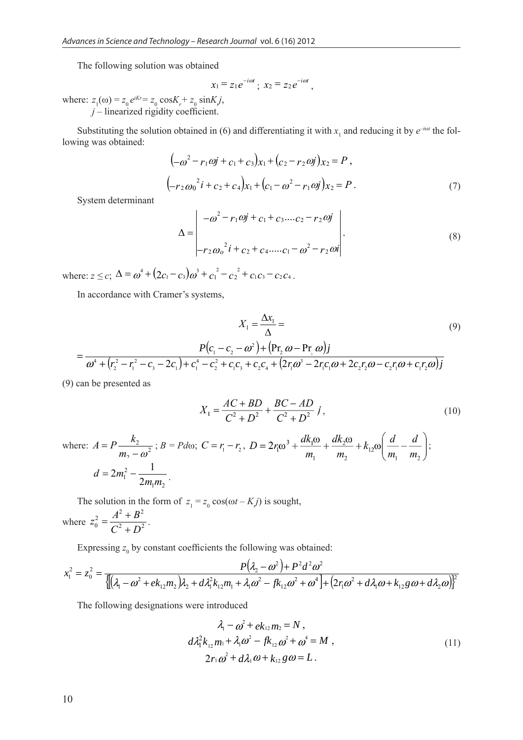The following solution was obtained

$$
x_1 = z_1 e^{-i\omega t}
$$
;  $x_2 = z_2 e^{-i\omega t}$ ,

where:  $z_1(\omega) = z_0 e^{iKr} = z_0 \cos K_r + z_0 \sin K_r j$ , *j* – linearized rigidity coefficient.

Substituting the solution obtained in (6) and differentiating it with  $x_1$  and reducing it by  $e^{-i\omega t}$  the following was obtained:

$$
\left(-\omega^2 - r_1 \omega j + c_1 + c_3\right) x_1 + \left(c_2 - r_2 \omega j\right) x_2 = P,
$$
\n
$$
\left(-r_2 \omega_0^2 i + c_2 + c_4\right) x_1 + \left(c_1 - \omega^2 - r_1 \omega j\right) x_2 = P.
$$
\n(7)

System determinant

$$
\Delta = \begin{vmatrix} -\omega^2 - r_1 \omega j + c_1 + c_3 \dots c_2 - r_2 \omega j \\ r_2 \omega_o^2 i + c_2 + c_4 \dots c_1 - \omega^2 - r_2 \omega i \end{vmatrix}.
$$
 (8)

where:  $z \le c$ ;  $\Delta = \omega^4 + (2c_1 - c_3)\omega^3 + c_1^2 - c_2^2 + c_1c_3 - c_2c_4$ .

In accordance with Cramer's systems,

$$
X_{1} = \frac{\Delta x_{1}}{\Delta} =
$$
\n
$$
= \frac{P(c_{1} - c_{2} - \omega^{2}) + (Pr_{2} \omega - Pr_{1} \omega)j}{\omega^{4} + (r_{2}^{2} - r_{1}^{2} - c_{3} - 2c_{1}) + c_{1}^{4} - c_{2}^{2} + c_{1}c_{3} + c_{2}c_{4} + (2r_{1}\omega^{3} - 2r_{1}c_{1}\omega + 2c_{2}r_{2}\omega - c_{2}r_{1}\omega + c_{1}r_{2}\omega)j}
$$
\n(9)

(9) can be presented as

$$
X_1 = \frac{AC + BD}{C^2 + D^2} + \frac{BC - AD}{C^2 + D^2} j,
$$
\n(10)

where:  $A = P \frac{R_2}{m_1}$  $\mathcal{L}$  $A = P \frac{k_2}{m_2 - \omega^2}$ ;  $B = P d\omega$ ;  $C = r_1 - r_2$ ,  $D = 2r_1\omega^3 + \frac{dk_1\omega}{m_1} + \frac{dk_2\omega}{m_2} + k_{12}\omega \left(\frac{d}{m_1} - \frac{d}{m_2}\right)$ ;  $1''$ <sup>2</sup> 2 <sup>1</sup> 2  $2m_1^2 - \frac{1}{2}$  $d = 2m_1^2 - \frac{1}{2m_1m_2}$ .

The solution in the form of  $z_1 = z_0 \cos(\omega t - Kj)$  is sought, where  $z_0^2 = \frac{1}{C^2 + D^2}$  $2^2 - A^2 + B^2$  $0^{\circ}$  <sup>O</sup>  $C^2$  + D  $z_0^2 = \frac{A^2 + B}{\sigma^2}$ +  $=\frac{A^2 + B^2}{2}$ .

Expressing  $z_0$  by constant coefficients the following was obtained:

$$
x_1^2 = z_0^2 = \frac{P(\lambda_2 - \omega^2) + P^2 d^2 \omega^2}{\{\left[ (\lambda_1 - \omega^2 + e k_{12} m_2) \lambda_2 + d \lambda_1^2 k_{12} m_1 + \lambda_1 \omega^2 - f k_{12} \omega^2 + \omega^4 \right] + \left( 2r_1 \omega^2 + d \lambda_1 \omega + k_{12} g \omega + d \lambda_2 \omega \right)\}^2}
$$

The following designations were introduced

$$
\lambda_1 - \omega^2 + e k_{12} m_2 = N,
$$
  
\n
$$
d\lambda_1^2 k_{12} m_1 + \lambda_1 \omega^2 - f k_{12} \omega^2 + \omega^4 = M,
$$
  
\n
$$
2r_1 \omega^2 + d\lambda_1 \omega + k_{12} g \omega = L.
$$
\n(11)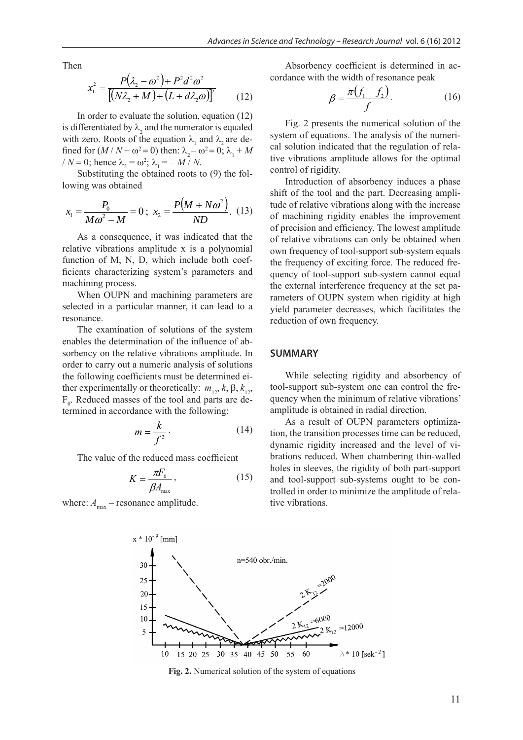Then

$$
x_1^2 = \frac{P(\lambda_2 - \omega^2) + P^2 d^2 \omega^2}{[(N\lambda_2 + M) + (L + d\lambda_2 \omega)]^2}
$$
 (12)

In order to evaluate the solution, equation (12) is differentiated by  $\lambda_2$  and the numerator is equaled with zero. Roots of the equation  $\lambda_1$  and  $\lambda_2$  are defined for  $(M/N + \omega^2 = 0)$  then:  $\lambda_2 - \omega^2 = 0$ ;  $\lambda_1 + M$  $/N = 0$ ; hence  $\lambda_2 = \omega^2$ ;  $\lambda_1 = -M/N$ .

Substituting the obtained roots to (9) the following was obtained

$$
x_1 = \frac{P_0}{M\omega^2 - M} = 0 \; ; \; x_2 = \frac{P(M + N\omega^2)}{ND} . \; (13)
$$

As a consequence, it was indicated that the relative vibrations amplitude x is a polynomial function of M, N, D, which include both coefficients characterizing system's parameters and machining process.

When OUPN and machining parameters are selected in a particular manner, it can lead to a resonance.

The examination of solutions of the system enables the determination of the influence of absorbency on the relative vibrations amplitude. In order to carry out a numeric analysis of solutions the following coefficients must be determined either experimentally or theoretically:  $m_{12}$ ,  $k$ ,  $\beta$ ,  $k_{12}$ ,  $F_0$ . Reduced masses of the tool and parts are determined in accordance with the following:

$$
m = \frac{k}{f^2} \tag{14}
$$

The value of the reduced mass coefficient

$$
K = \frac{\pi F_0}{\beta A_{\text{max}}},\tag{15}
$$

where:  $A_{\text{max}}$  – resonance amplitude.

Absorbency coefficient is determined in accordance with the width of resonance peak

$$
\beta = \frac{\pi (f_1 - f_2)}{f}.
$$
\n(16)

Fig. 2 presents the numerical solution of the system of equations. The analysis of the numerical solution indicated that the regulation of relative vibrations amplitude allows for the optimal control of rigidity.

Introduction of absorbency induces a phase shift of the tool and the part. Decreasing amplitude of relative vibrations along with the increase of machining rigidity enables the improvement of precision and efficiency. The lowest amplitude of relative vibrations can only be obtained when own frequency of tool-support sub-system equals the frequency of exciting force. The reduced frequency of tool-support sub-system cannot equal the external interference frequency at the set parameters of OUPN system when rigidity at high yield parameter decreases, which facilitates the reduction of own frequency.

### **SUMMARY**

While selecting rigidity and absorbency of tool-support sub-system one can control the frequency when the minimum of relative vibrations' amplitude is obtained in radial direction.

As a result of OUPN parameters optimization, the transition processes time can be reduced, dynamic rigidity increased and the level of vibrations reduced. When chambering thin-walled holes in sleeves, the rigidity of both part-support and tool-support sub-systems ought to be controlled in order to minimize the amplitude of relative vibrations.



**Fig. 2.** Numerical solution of the system of equations